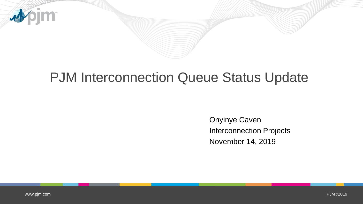

## PJM Interconnection Queue Status Update

Onyinye Caven Interconnection Projects November 14, 2019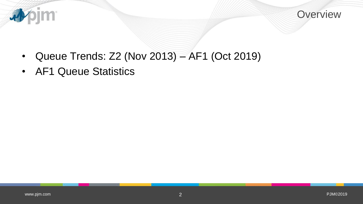



- Queue Trends: Z2 (Nov 2013) AF1 (Oct 2019)
- AF1 Queue Statistics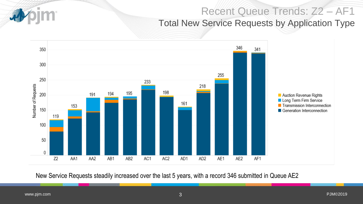#### Recent Queue Trends: Z2 – AF1 Total New Service Requests by Application Type



New Service Requests steadily increased over the last 5 years, with a record 346 submitted in Queue AE2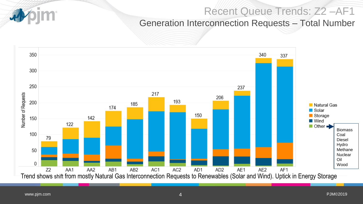#### Recent Queue Trends: Z2 –AF1

Generation Interconnection Requests – Total Number

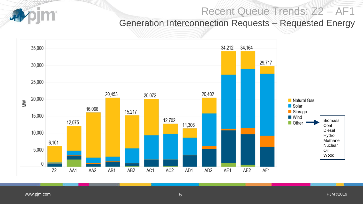#### Recent Queue Trends: Z2 – AF1

Generation Interconnection Requests – Requested Energy

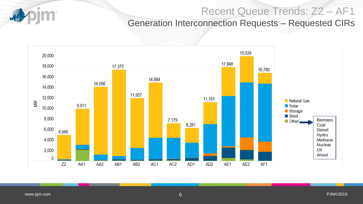#### Recent Queue Trends: Z2 – AF1

Generation Interconnection Requests – Requested CIRs

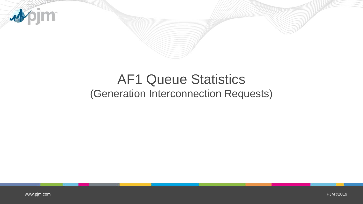

# AF1 Queue Statistics (Generation Interconnection Requests)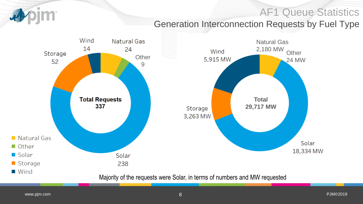#### AF1 Queue Statistics

# **Im**

#### Generation Interconnection Requests by Fuel Type

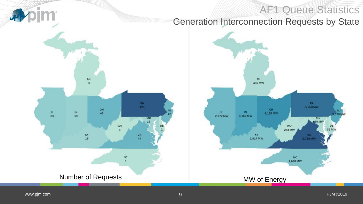### AF1 Queue Statistics Generation Interconnection Requests by State



pim<sup>.</sup>

尋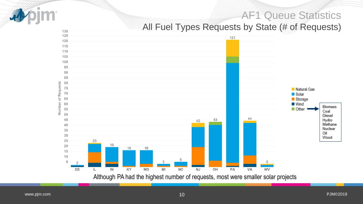#### AF1 Queue Statistics

#### All Fuel Types Requests by State (# of Requests)



Although PA had the highest number of requests, most were smaller solar projects

130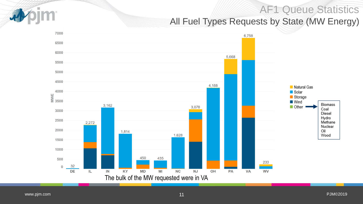### AF1 Queue Statistics All Fuel Types Requests by State (MW Energy)

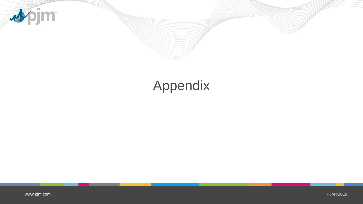

# Appendix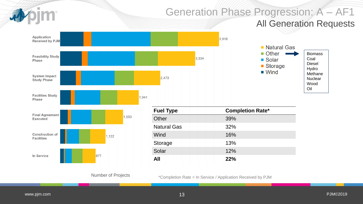# Generation Phase Progression: A – AF1

#### All Generation Requests





Number of Projects

**Fuel Type Completion Rate\*** Other 39% Natural Gas
and Sas in the 32% Wind 16% Storage 13% Solar 12% **All 22%**

3,918

\*Completion Rate = In Service / Application Received by PJM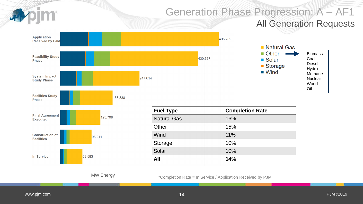# Generation Phase Progression: A – AF1

#### All Generation Requests



\*Completion Rate = In Service / Application Received by PJM

MW Energy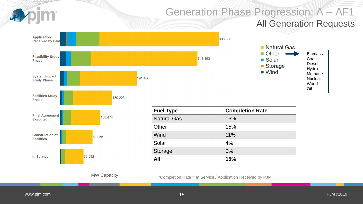

MW Capacity

\*Completion Rate = In Service / Application Received by PJM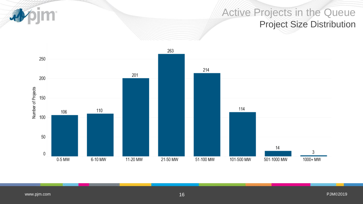**Sim** 4

#### Active Projects in the Queue Project Size Distribution

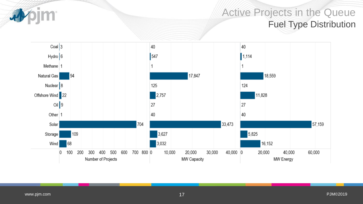

#### Active Projects in the Queue Fuel Type Distribution

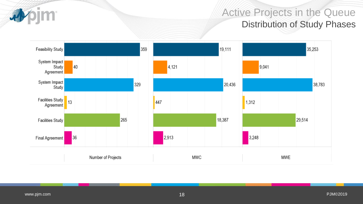#### pjm **d**

#### Active Projects in the Queue Distribution of Study Phases